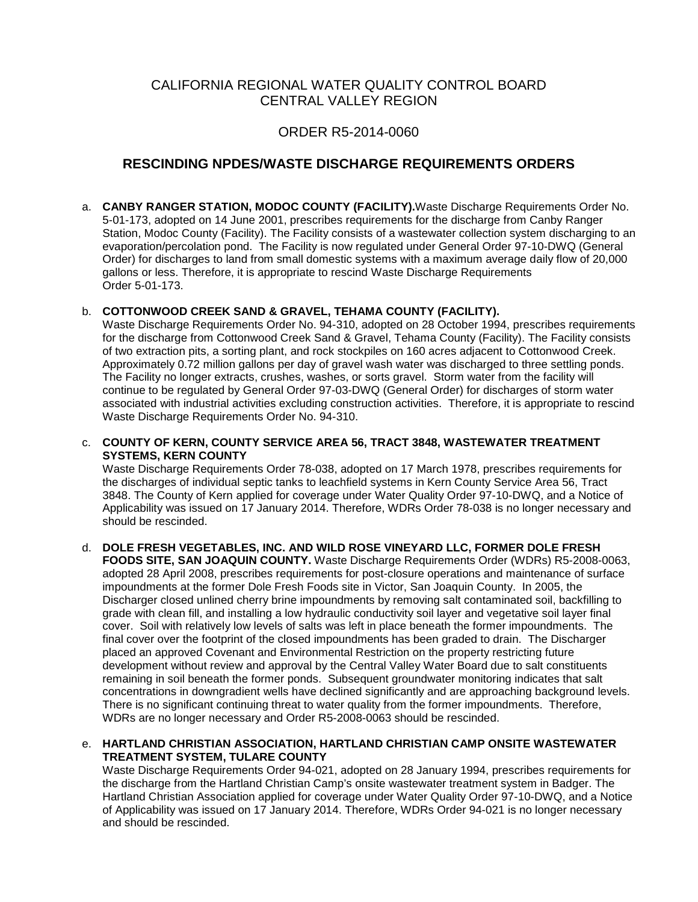# CALIFORNIA REGIONAL WATER QUALITY CONTROL BOARD CENTRAL VALLEY REGION

## ORDER R5-2014-0060

# **RESCINDING NPDES/WASTE DISCHARGE REQUIREMENTS ORDERS**

a. **CANBY RANGER STATION, MODOC COUNTY (FACILITY).**Waste Discharge Requirements Order No. 5-01-173, adopted on 14 June 2001, prescribes requirements for the discharge from Canby Ranger Station, Modoc County (Facility). The Facility consists of a wastewater collection system discharging to an evaporation/percolation pond. The Facility is now regulated under General Order 97-10-DWQ (General Order) for discharges to land from small domestic systems with a maximum average daily flow of 20,000 gallons or less. Therefore, it is appropriate to rescind Waste Discharge Requirements Order 5-01-173.

### b. **COTTONWOOD CREEK SAND & GRAVEL, TEHAMA COUNTY (FACILITY).**

of two extraction pits, a sorting plant, and rock stockpiles on 160 acres adjacent to Cottonwood Creek. Approximately 0.72 million gallons per day of gravel wash water was discharged to three settling ponds. of two extraction pits, a sorting plant, and rock stockpiles on 160 acres adjacent to Cottonwood Creek.<br>Approximately 0.72 million gallons per day of gravel wash water was discharged to three settling ponds.<br>The Facility n Waste Discharge Requirements Order No. 94-310, adopted on 28 October 1994, prescribes requirements for the discharge from Cottonwood Creek Sand & Gravel, Tehama County (Facility). The Facility consists continue to be regulated by General Order 97-03-DWQ (General Order) for discharges of storm water associated with industrial activities excluding construction activities. Therefore, it is appropriate to rescind Waste Discharge Requirements Order No. 94-310.

#### c. **COUNTY OF KERN, COUNTY SERVICE AREA 56, TRACT 3848, WASTEWATER TREATMENT SYSTEMS, KERN COUNTY**

Waste Discharge Requirements Order 78-038, adopted on 17 March 1978, prescribes requirements for the discharges of individual septic tanks to leachfield systems in Kern County Service Area 56, Tract 3848. The County of Kern applied for coverage under Water Quality Order 97-10-DWQ, and a Notice of Applicability was issued on 17 January 2014. Therefore, WDRs Order 78-038 is no longer necessary and should be rescinded.

#### cover. Soil with relatively low levels of salts was left in place beneath the former impoundments. The remaining in soil beneath the former ponds. Subsequent groundwater monitoring indicates that salt There is no significant continuing threat to water quality from the former impoundments. Therefore, WDRs are no longer necessary and Order R5-2008-0063 should be rescinded. d. **DOLE FRESH VEGETABLES, INC. AND WILD ROSE VINEYARD LLC, FORMER DOLE FRESH FOODS SITE, SAN JOAQUIN COUNTY.** Waste Discharge Requirements Order (WDRs) R5-2008-0063, adopted 28 April 2008, prescribes requirements for post-closure operations and maintenance of surface impoundments at the former Dole Fresh Foods site in Victor, San Joaquin County. In 2005, the Discharger closed unlined cherry brine impoundments by removing salt contaminated soil, backfilling to grade with clean fill, and installing a low hydraulic conductivity soil layer and vegetative soil layer final final cover over the footprint of the closed impoundments has been graded to drain. The Discharger placed an approved Covenant and Environmental Restriction on the property restricting future development without review and approval by the Central Valley Water Board due to salt constituents concentrations in downgradient wells have declined significantly and are approaching background levels.

### e. HARTLAND CHRISTIAN ASSOCIATION, HARTLAND CHRISTIAN CAMP ONSITE WASTEWATER **TREATMENT SYSTEM, TULARE COUNTY**

Waste Discharge Requirements Order 94-021, adopted on 28 January 1994, prescribes requirements for the discharge from the Hartland Christian Camp's onsite wastewater treatment system in Badger. The Hartland Christian Association applied for coverage under Water Quality Order 97-10-DWQ, and a Notice of Applicability was issued on 17 January 2014. Therefore, WDRs Order 94-021 is no longer necessary and should be rescinded.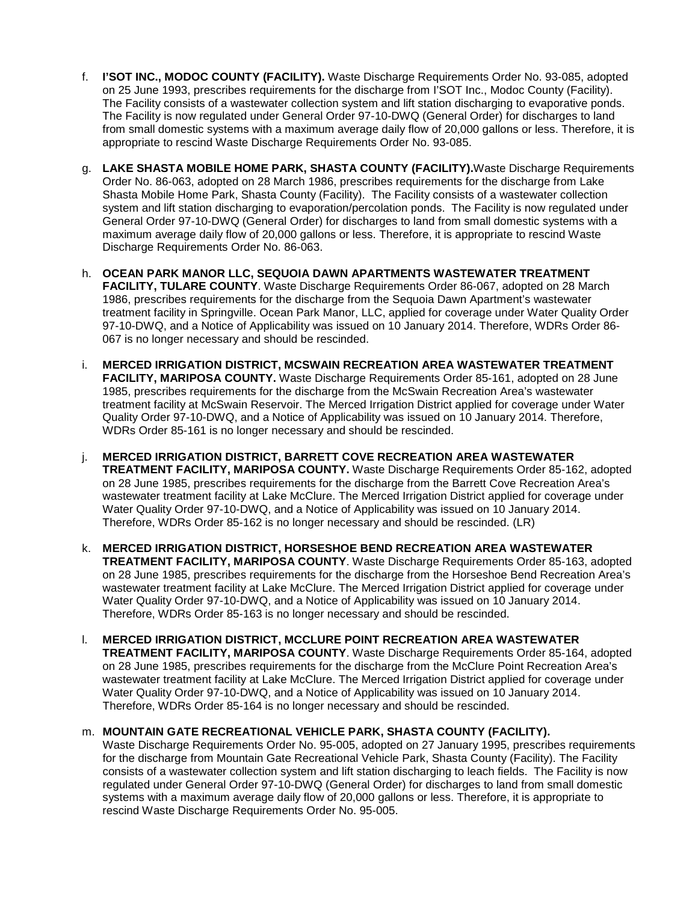- on 25 June 1993, prescribes requirements for the discharge from l'SOT Inc., Modoc County (Facility). The Facility consists of a wastewater collection system and lift station discharging to evaporative ponds. f. **I'SOT INC., MODOC COUNTY (FACILITY).** Waste Discharge Requirements Order No. 93-085, adopted The Facility is now regulated under General Order 97-10-DWQ (General Order) for discharges to land from small domestic systems with a maximum average daily flow of 20,000 gallons or less. Therefore, it is appropriate to rescind Waste Discharge Requirements Order No. 93-085.
- g. **LAKE SHASTA MOBILE HOME PARK, SHASTA COUNTY (FACILITY).**Waste Discharge Requirements Order No. 86-063, adopted on 28 March 1986, prescribes requirements for the discharge from Lake Shasta Mobile Home Park, Shasta County (Facility). The Facility consists of a wastewater collection system and lift station discharging to evaporation/percolation ponds. The Facility is now regulated under General Order 97-10-DWQ (General Order) for discharges to land from small domestic systems with a maximum average daily flow of 20,000 gallons or less. Therefore, it is appropriate to rescind Waste Discharge Requirements Order No. 86-063.
- h. **OCEAN PARK MANOR LLC, SEQUOIA DAWN APARTMENTS WASTEWATER TREATMENT FACILITY, TULARE COUNTY**. Waste Discharge Requirements Order 86-067, adopted on 28 March 1986, prescribes requirements for the discharge from the Sequoia Dawn Apartment's wastewater treatment facility in Springville. Ocean Park Manor, LLC, applied for coverage under Water Quality Order 97-10-DWQ, and a Notice of Applicability was issued on 10 January 2014. Therefore, WDRs Order 86- 067 is no longer necessary and should be rescinded.
- i. **MERCED IRRIGATION DISTRICT, MCSWAIN RECREATION AREA WASTEWATER TREATMENT FACILITY, MARIPOSA COUNTY.** Waste Discharge Requirements Order 85-161, adopted on 28 June 1985, prescribes requirements for the discharge from the McSwain Recreation Area's wastewater treatment facility at McSwain Reservoir. The Merced Irrigation District applied for coverage under Water Quality Order 97-10-DWQ, and a Notice of Applicability was issued on 10 January 2014. Therefore, WDRs Order 85-161 is no longer necessary and should be rescinded.
- j. **MERCED IRRIGATION DISTRICT, BARRETT COVE RECREATION AREA WASTEWATER TREATMENT FACILITY, MARIPOSA COUNTY.** Waste Discharge Requirements Order 85-162, adopted on 28 June 1985, prescribes requirements for the discharge from the Barrett Cove Recreation Area's wastewater treatment facility at Lake McClure. The Merced Irrigation District applied for coverage under Water Quality Order 97-10-DWQ, and a Notice of Applicability was issued on 10 January 2014. Therefore, WDRs Order 85-162 is no longer necessary and should be rescinded. (LR)
- k. **MERCED IRRIGATION DISTRICT, HORSESHOE BEND RECREATION AREA WASTEWATER TREATMENT FACILITY, MARIPOSA COUNTY**. Waste Discharge Requirements Order 85-163, adopted on 28 June 1985, prescribes requirements for the discharge from the Horseshoe Bend Recreation Area's wastewater treatment facility at Lake McClure. The Merced Irrigation District applied for coverage under Water Quality Order 97-10-DWQ, and a Notice of Applicability was issued on 10 January 2014. Therefore, WDRs Order 85-163 is no longer necessary and should be rescinded.
- l. **MERCED IRRIGATION DISTRICT, MCCLURE POINT RECREATION AREA WASTEWATER TREATMENT FACILITY, MARIPOSA COUNTY**. Waste Discharge Requirements Order 85-164, adopted on 28 June 1985, prescribes requirements for the discharge from the McClure Point Recreation Area's wastewater treatment facility at Lake McClure. The Merced Irrigation District applied for coverage under Water Quality Order 97-10-DWQ, and a Notice of Applicability was issued on 10 January 2014. Therefore, WDRs Order 85-164 is no longer necessary and should be rescinded.

## m. **MOUNTAIN GATE RECREATIONAL VEHICLE PARK, SHASTA COUNTY (FACILITY).**

Waste Discharge Requirements Order No. 95-005, adopted on 27 January 1995, prescribes requirements for the discharge from Mountain Gate Recreational Vehicle Park, Shasta County (Facility). The Facility consists of a wastewater collection system and lift station discharging to leach fields. The Facility is now regulated under General Order 97-10-DWQ (General Order) for discharges to land from small domestic systems with a maximum average daily flow of 20,000 gallons or less. Therefore, it is appropriate to rescind Waste Discharge Requirements Order No. 95-005.